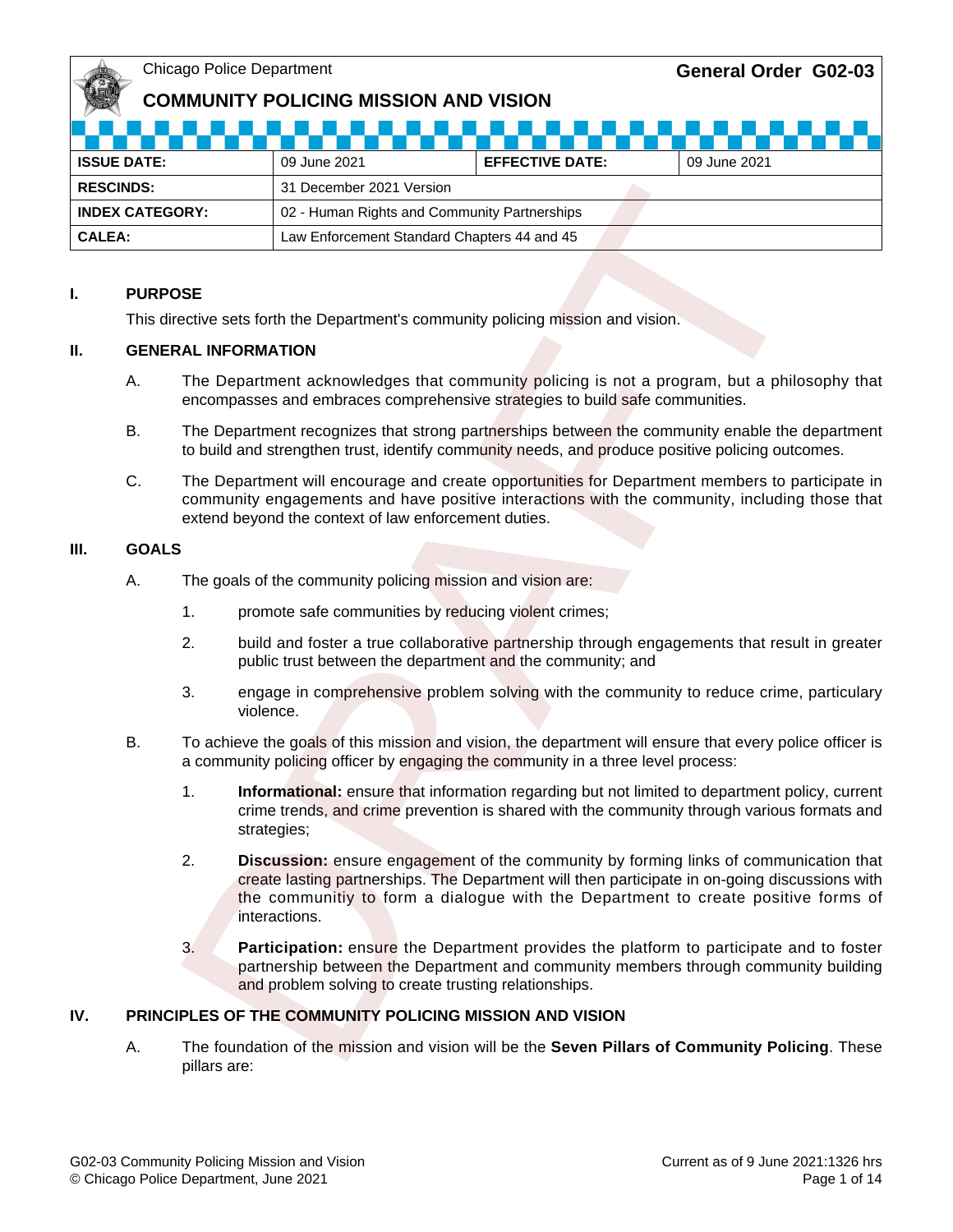## **COMMUNITY POLICING MISSION AND VISION**

| <b>ISSUE DATE:</b>     | 09 June 2021                                 | <b>EFFECTIVE DATE:</b> | 09 June 2021 |  |  |
|------------------------|----------------------------------------------|------------------------|--------------|--|--|
| <b>RESCINDS:</b>       | 31 December 2021 Version                     |                        |              |  |  |
| <b>INDEX CATEGORY:</b> | 02 - Human Rights and Community Partnerships |                        |              |  |  |
| <b>CALEA:</b>          | Law Enforcement Standard Chapters 44 and 45  |                        |              |  |  |

### **I. PURPOSE**

This directive sets forth the Department's community policing mission and vision.

#### **II. GENERAL INFORMATION**

- A. The Department acknowledges that community policing is not a program, but a philosophy that encompasses and embraces comprehensive strategies to build safe communities.
- B. The Department recognizes that strong partnerships between the community enable the department to build and strengthen trust, identify community needs, and produce positive policing outcomes.
- C. The Department will encourage and create opportunities for Department members to participate in community engagements and have positive interactions with the community, including those that extend beyond the context of law enforcement duties.

#### **III. GOALS**

- A. The goals of the community policing mission and vision are:
	- 1. promote safe communities by reducing violent crimes;
	- 2. build and foster a true collaborative partnership through engagements that result in greater public trust between the department and the community; and
	- 3. engage in comprehensive problem solving with the community to reduce crime, particulary violence.
- B. To achieve the goals of this mission and vision, the department will ensure that every police officer is a community policing officer by engaging the community in a three level process:
	- 1. **Informational:** ensure that information regarding but not limited to department policy, current crime trends, and crime prevention is shared with the community through various formats and strategies;
- 2. **Discussion:** ensure engagement of the community by forming links of communication that create lasting partnerships. The Department will then participate in on-going discussions with the communitiy to form a dialogue with the Department to create positive forms of interactions. Solution and the Department and Solution and Microsoftem and Chapter and Chapter and Chapters of the Department Standard Chapters 44 and 45<br>
DSE<br>
THE Department Standard Chapters 44 and 45<br>
DSE<br>
The Department and Chapters
	- 3. **Participation:** ensure the Department provides the platform to participate and to foster partnership between the Department and community members through community building and problem solving to create trusting relationships.

## **IV. PRINCIPLES OF THE COMMUNITY POLICING MISSION AND VISION**

A. The foundation of the mission and vision will be the **Seven Pillars of Community Policing**. These pillars are: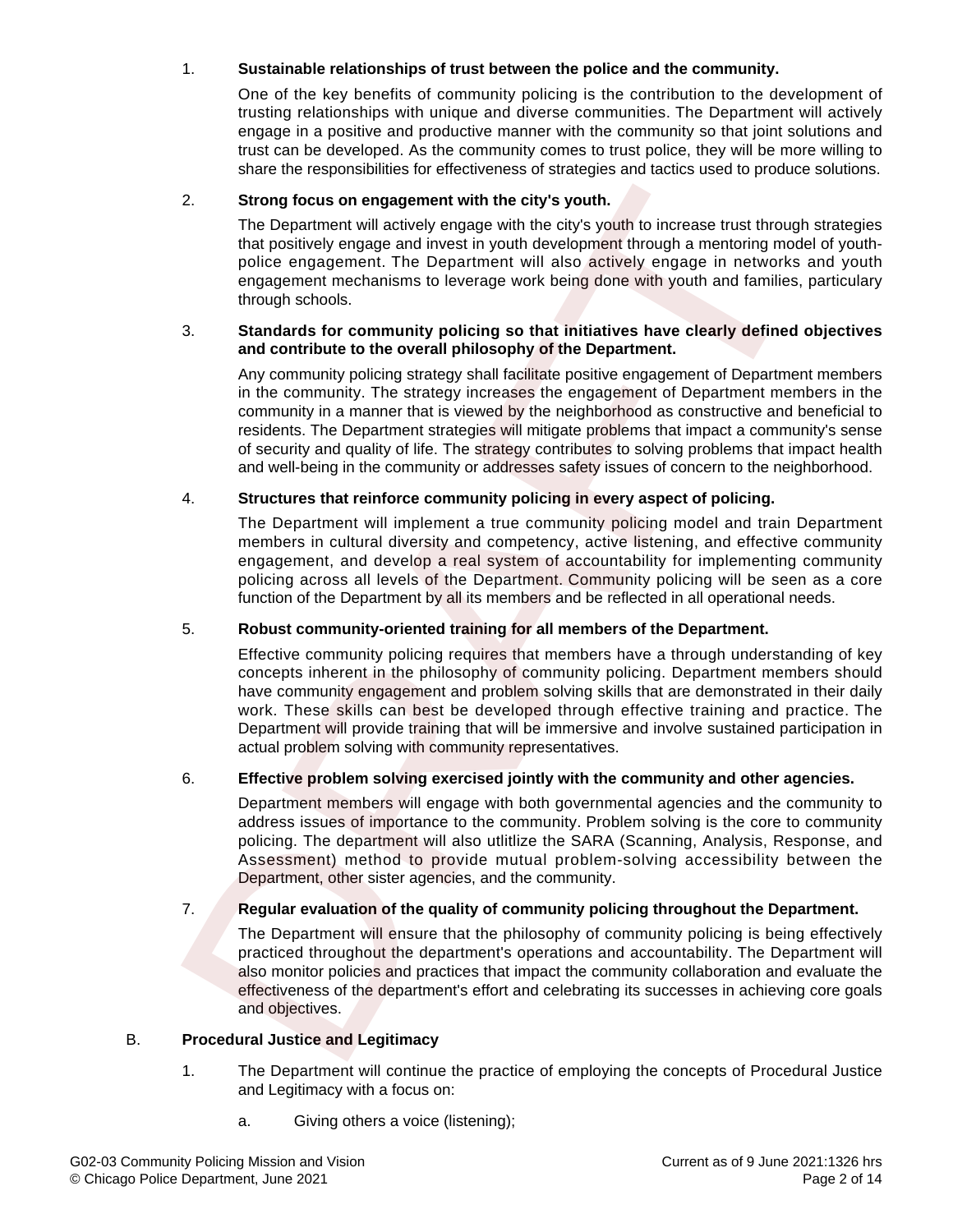### 1. **Sustainable relationships of trust between the police and the community.**

One of the key benefits of community policing is the contribution to the development of trusting relationships with unique and diverse communities. The Department will actively engage in a positive and productive manner with the community so that joint solutions and trust can be developed. As the community comes to trust police, they will be more willing to share the responsibilities for effectiveness of strategies and tactics used to produce solutions.

#### 2. **Strong focus on engagement with the city's youth.**

The Department will actively engage with the city's youth to increase trust through strategies that positively engage and invest in youth development through a mentoring model of youthpolice engagement. The Department will also actively engage in networks and youth engagement mechanisms to leverage work being done with youth and families, particulary through schools.

#### 3. **Standards for community policing so that initiatives have clearly defined objectives and contribute to the overall philosophy of the Department.**

Any community policing strategy shall facilitate positive engagement of Department members in the community. The strategy increases the engagement of Department members in the community in a manner that is viewed by the neighborhood as constructive and beneficial to residents. The Department strategies will mitigate problems that impact a community's sense of security and quality of life. The strategy contributes to solving problems that impact health and well-being in the community or addresses safety issues of concern to the neighborhood.

### 4. **Structures that reinforce community policing in every aspect of policing.**

The Department will implement a true community policing model and train Department members in cultural diversity and competency, active listening, and effective community engagement, and develop a real system of accountability for implementing community policing across all levels of the Department. Community policing will be seen as a core function of the Department by all its members and be reflected in all operational needs.

#### 5. **Robust community-oriented training for all members of the Department.**

Effective community policing requires that members have a through understanding of key concepts inherent in the philosophy of community policing. Department members should have community engagement and problem solving skills that are demonstrated in their daily work. These skills can best be developed through effective training and practice. The Department will provide training that will be immersive and involve sustained participation in actual problem solving with community representatives. 2.<br>
Strong focus on engagement with the city's youth.<br>
The Department will actively ongage with the city's youth to increase trust through<br>
that positively engage and Invest in youth development through a mentoring mode<br>
p

#### 6. **Effective problem solving exercised jointly with the community and other agencies.**

Department members will engage with both governmental agencies and the community to address issues of importance to the community. Problem solving is the core to community policing. The department will also utlitlize the SARA (Scanning, Analysis, Response, and Assessment) method to provide mutual problem-solving accessibility between the Department, other sister agencies, and the community.

#### 7. **Regular evaluation of the quality of community policing throughout the Department.**

The Department will ensure that the philosophy of community policing is being effectively practiced throughout the department's operations and accountability. The Department will also monitor policies and practices that impact the community collaboration and evaluate the effectiveness of the department's effort and celebrating its successes in achieving core goals and objectives.

#### B. **Procedural Justice and Legitimacy**

- 1. The Department will continue the practice of employing the concepts of Procedural Justice and Legitimacy with a focus on:
	- a. Giving others a voice (listening);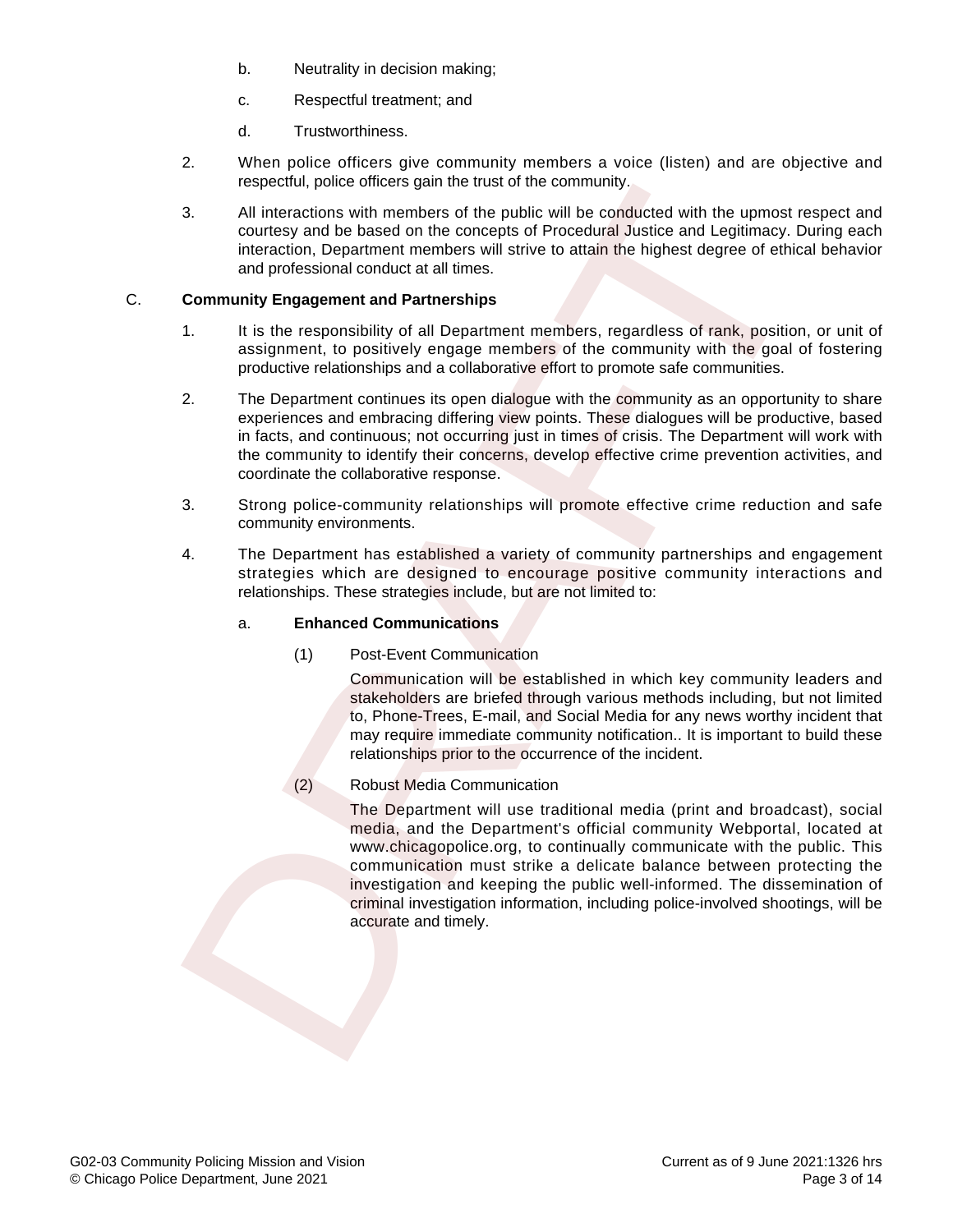- b. Neutrality in decision making;
- c. Respectful treatment; and
- d. Trustworthiness.
- 2. When police officers give community members a voice (listen) and are objective and respectful, police officers gain the trust of the community.
- 3. All interactions with members of the public will be conducted with the upmost respect and courtesy and be based on the concepts of Procedural Justice and Legitimacy. During each interaction, Department members will strive to attain the highest degree of ethical behavior and professional conduct at all times.

### C. **Community Engagement and Partnerships**

- 1. It is the responsibility of all Department members, regardless of rank, position, or unit of assignment, to positively engage members of the community with the goal of fostering productive relationships and a collaborative effort to promote safe communities.
- 2. The Department continues its open dialogue with the community as an opportunity to share experiences and embracing differing view points. These dialogues will be productive, based in facts, and continuous; not occurring just in times of crisis. The Department will work with the community to identify their concerns, develop effective crime prevention activities, and coordinate the collaborative response.
- 3. Strong police-community relationships will promote effective crime reduction and safe community environments.
- 4. The Department has established a variety of community partnerships and engagement strategies which are designed to encourage positive community interactions and relationships. These strategies include, but are not limited to:

#### a. **Enhanced Communications**

(1) Post-Event Communication

Communication will be established in which key community leaders and stakeholders are briefed through various methods including, but not limited to, Phone-Trees, E-mail, and Social Media for any news worthy incident that may require immediate community notification.. It is important to build these relationships prior to the occurrence of the incident.

(2) Robust Media Communication

The Department will use traditional media (print and broadcast), social media, and the Department's official community Webportal, located at www.chicagopolice.org, to continually communicate with the public. This communication must strike a delicate balance between protecting the investigation and keeping the public well-informed. The dissemination of criminal investigation information, including police-involved shootings, will be accurate and timely. strategies which are desired to community<br>conference and the public will be conducted with the upmost<br>and interactions with members of the public will be conducted with the upmost<br>courtesy and be based on the concepted of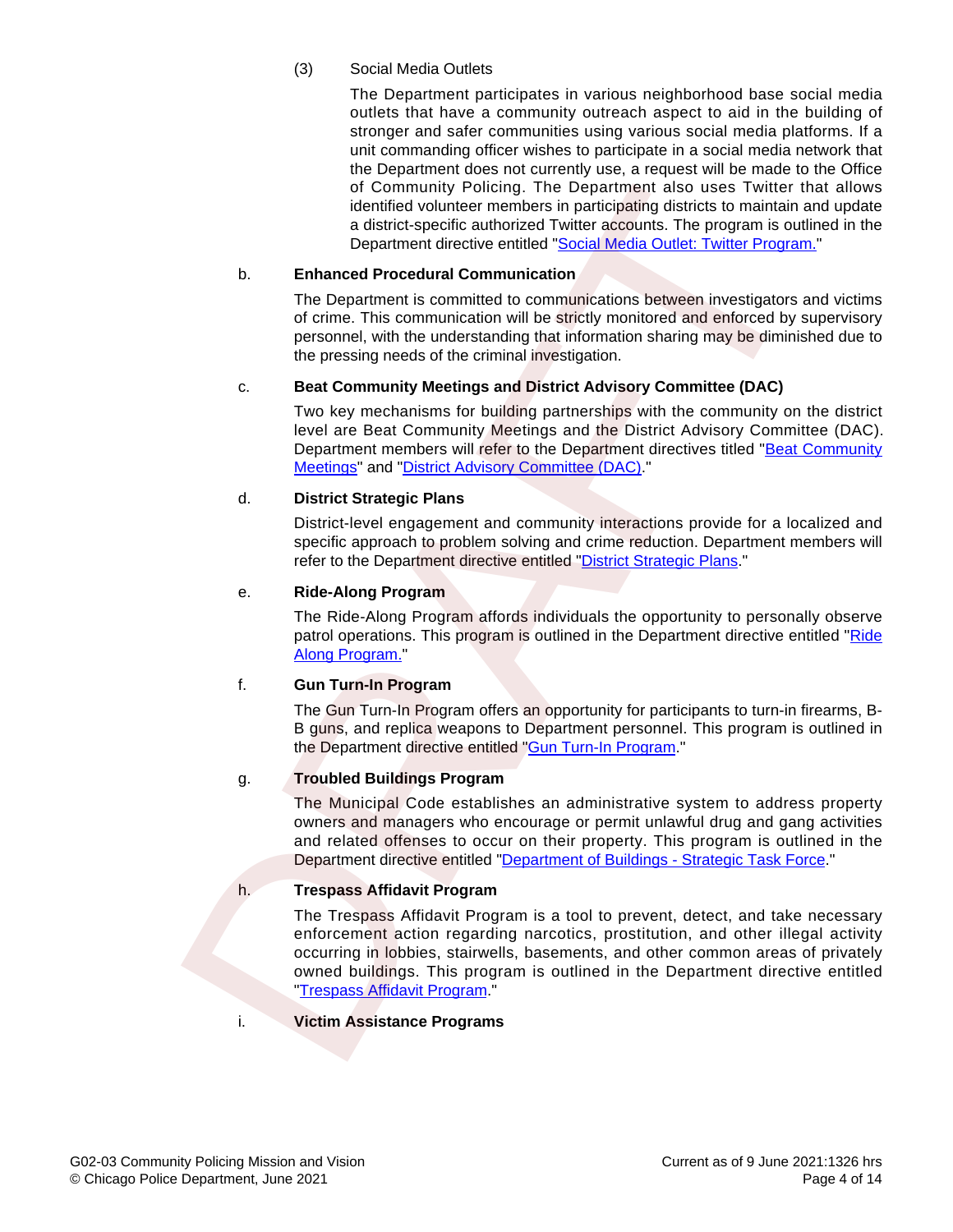### (3) Social Media Outlets

The Department participates in various neighborhood base social media outlets that have a community outreach aspect to aid in the building of stronger and safer communities using various social media platforms. If a unit commanding officer wishes to participate in a social media network that the Department does not currently use, a request will be made to the Office of Community Policing. The Department also uses Twitter that allows identified volunteer members in participating districts to maintain and update a district-specific authorized Twitter accounts. The program is outlined in the Department directive entitled "[Social Media Outlet: Twitter Program."](http://directives.chicagopolice.org/CPDSergeantsExam_2019/directives/data/a7a56d8d-1542a37f-6d815-42a5-57cc4461c5f5c4c6.html?ownapi=1)

#### b. **Enhanced Procedural Communication**

The Department is committed to communications between investigators and victims of crime. This communication will be strictly monitored and enforced by supervisory personnel, with the understanding that information sharing may be diminished due to the pressing needs of the criminal investigation.

#### c. **Beat Community Meetings and District Advisory Committee (DAC)**

Two key mechanisms for building partnerships with the community on the district level are Beat Community Meetings and the District Advisory Committee (DAC). Department members will refer to the Department directives titled "[Beat Community](https://netprod2.chicagopolice.org/DMSAdmin/#directive/public/6437) Meetings" and "District Advisory Committee (DAC)."

#### d. **District Strategic Plans**

District-level engagement and community interactions provide for a localized and specific approach to problem solving and crime reduction. Department members will refer to the Department directive entitled "District Strategic Plans."

#### e. **Ride-Along Program**

The Ride-Along Program affords individuals the opportunity to personally observe patrol operations. This program is outlined in the Department directive entitled ["Ride](http://directives.chicagopolice.org/directives/data/a7a57be2-12946bda-6b312-946c-0ceb2c04cdccd679.html?ownapi=1) Along Program."

#### f. **Gun Turn-In Program**

The Gun Turn-In Program offers an opportunity for participants to turn-in firearms, B-B guns, and replica weapons to Department personnel. This program is outlined in the Department directive entitled "Gun Turn-In Program."

## g. **Troubled Buildings Program**

The Municipal Code establishes an administrative system to address property owners and managers who encourage or permit unlawful drug and gang activities and related offenses to occur on their property. This program is outlined in the Department directive entitled "[Department of Buildings - Strategic Task Force](https://netprod2.chicagopolice.org/DMSAdmin/#directive/public/6646)."

#### h. **Trespass Affidavit Program**

The Trespass Affidavit Program is a tool to prevent, detect, and take necessary enforcement action regarding narcotics, prostitution, and other illegal activity occurring in lobbies, stairwells, basements, and other common areas of privately owned buildings. This program is outlined in the Department directive entitled "Trespass Affidavit Program." of Community Peliciding. The [D](http://directives.chicagopolice.org/CPDSergeantsExam_2019/directives/data/a7a56d8d-1542a37f-6d815-42a5-57c9966c03f221dd.html?ownapi=1)epartment also usss Twitter<br>
identified volting and the Control Control Control Control Control Control Control Control Control Control Control Control Control Control Control Control Control

#### i. **Victim Assistance Programs**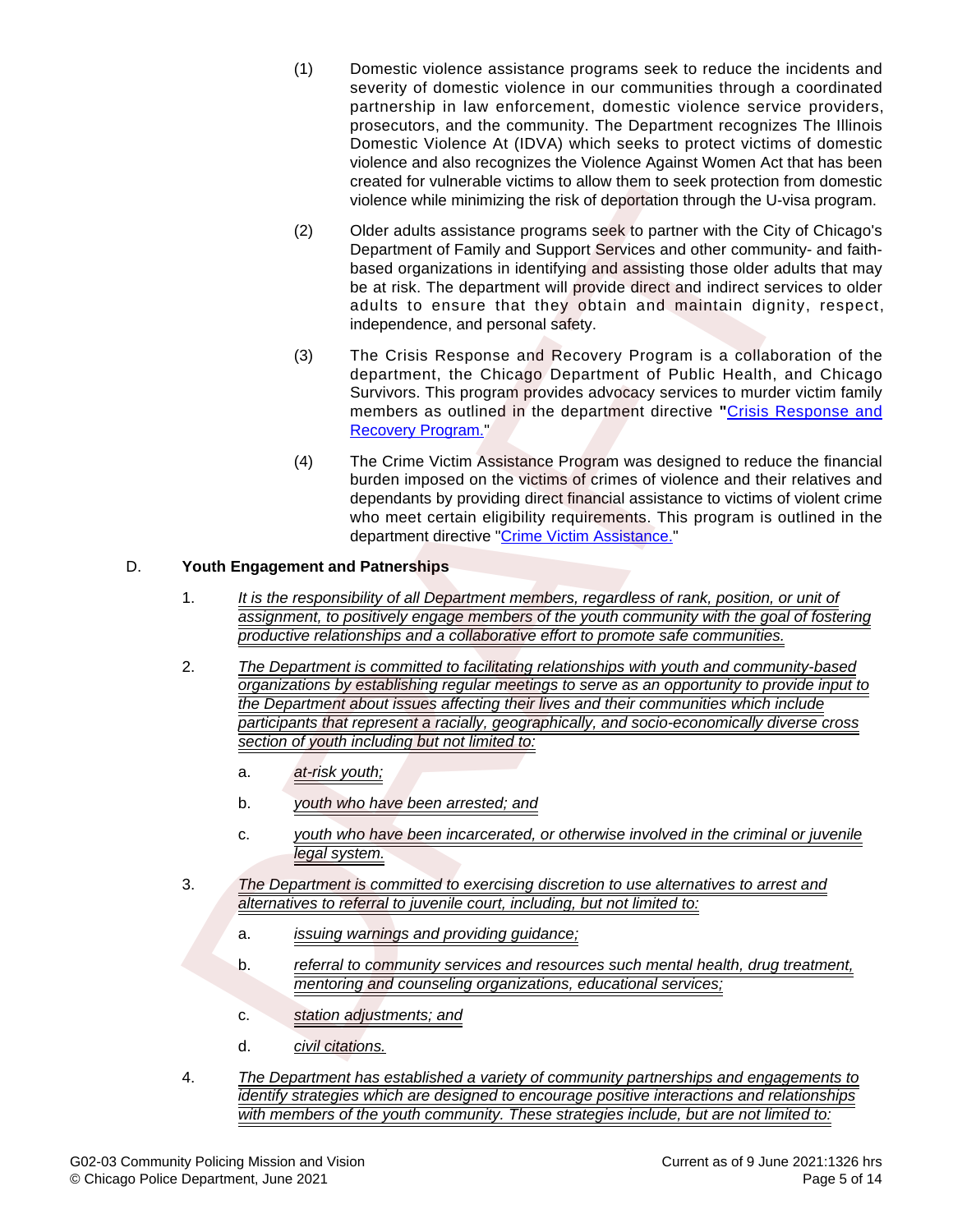- (1) Domestic violence assistance programs seek to reduce the incidents and severity of domestic violence in our communities through a coordinated partnership in law enforcement, domestic violence service providers, prosecutors, and the community. The Department recognizes The Illinois Domestic Violence At (IDVA) which seeks to protect victims of domestic violence and also recognizes the Violence Against Women Act that has been created for vulnerable victims to allow them to seek protection from domestic violence while minimizing the risk of deportation through the U-visa program.
- (2) Older adults assistance programs seek to partner with the City of Chicago's Department of Family and Support Services and other community- and faithbased organizations in identifying and assisting those older adults that may be at risk. The department will provide direct and indirect services to older adults to ensure that they obtain and maintain dignity, respect, independence, and personal safety.
- (3) The Crisis Response and Recovery Program is a collaboration of the department, the Chicago Department of Public Health, and Chicago Survivors. This program provides advocacy services to murder victim family members as outlined in the department directive **"**[Crisis Response and](http://directives.chicagopolice.org/CPDSergeantsExam_2019/directives/data/a7a57b9d-15000e68-c2c15-000f-0640a05bf830d038.html?ownapi=1) Recovery Program."
- (4) The Crime Victim Assistance Program was designed to reduce the financial burden imposed on the victims of crimes of violence and their relatives and dependants by providing direct financial assistance to victims of violent crime who meet certain eligibility requirements. This program is outlined in the department directive "Crime Victim Assistance."

### D. **Youth Engagement and Patnerships**

- 1. It is the responsibility of all Department members, regardless of rank, position, or unit of assignment, to positively engage members of the youth community with the goal of fostering productive relationships and a collaborative effort to promote safe communities.
- 2. The Department is committed to facilitating relationships with youth and community-based organizations by establishing regular meetings to serve as an opportunity to provide input to the Department about issues affecting their lives and their communities which include participants that represent a racially, geographically, and socio-economically diverse cross section of youth including but not limited to: created for vulnencele victor material based to particle in these typical of the creative of the creative minimizing the risk of deportation introduction the Civical CP Department of Family and Support Services and other c
	- a. at-risk youth;
	- b. youth who have been arrested; and
	- c. youth who have been incarcerated, or otherwise involved in the criminal or juvenile legal system.
- 3. The Department is committed to exercising discretion to use alternatives to arrest and alternatives to referral to juvenile court, including, but not limited to:
	- a. *issuing warnings and providing quidance*;
	- b. referral to community services and resources such mental health, drug treatment, mentoring and counseling organizations, educational services;
	- c. station adjustments; and
	- d. civil citations.
- 4. The Department has established a variety of community partnerships and engagements to identify strategies which are designed to encourage positive interactions and relationships with members of the youth community. These strategies include, but are not limited to: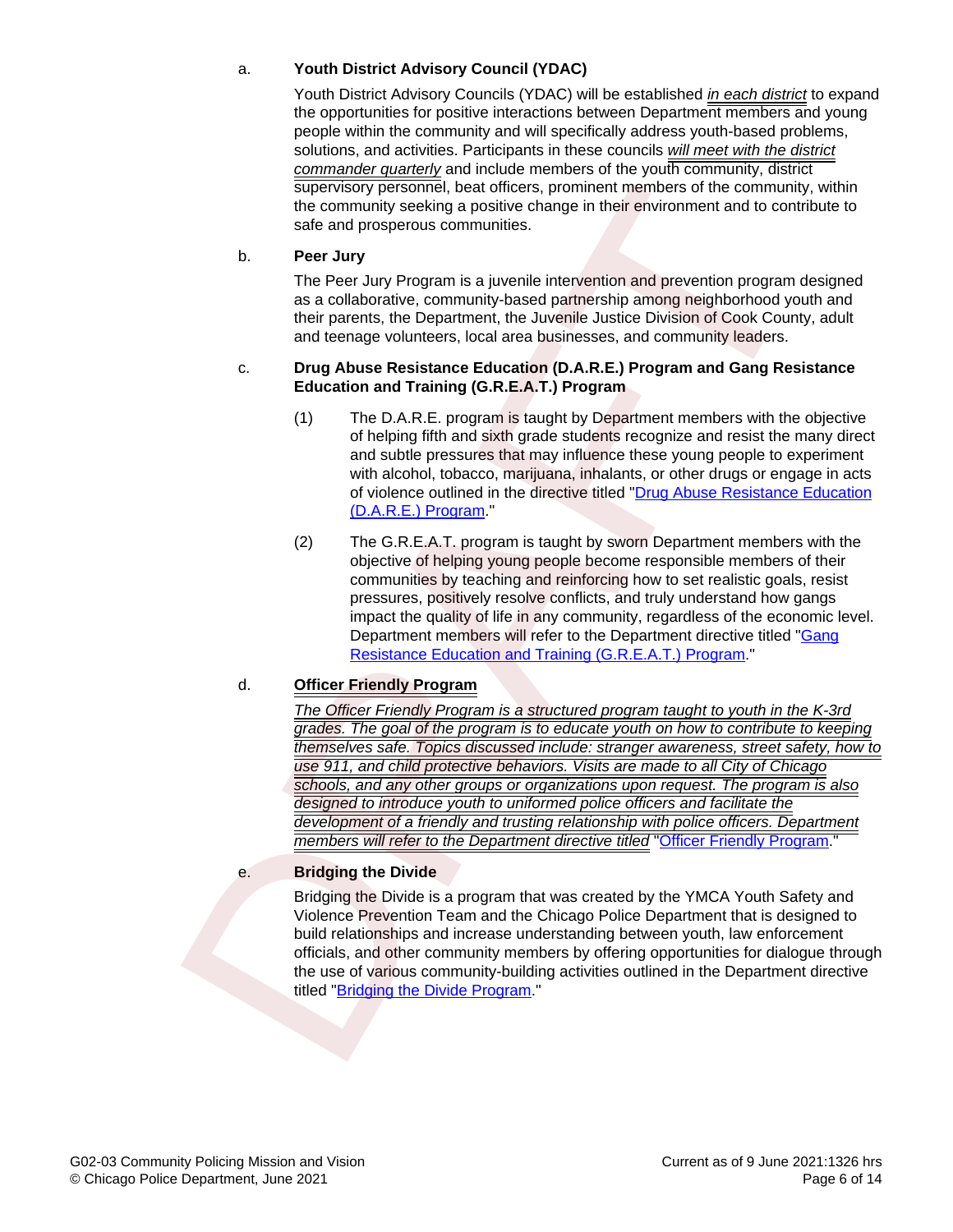### a. **Youth District Advisory Council (YDAC)**

Youth District Advisory Councils (YDAC) will be established in each district to expand the opportunities for positive interactions between Department members and young people within the community and will specifically address youth-based problems, solutions, and activities. Participants in these councils will meet with the district commander quarterly and include members of the youth community, district supervisory personnel, beat officers, prominent members of the community, within the community seeking a positive change in their environment and to contribute to safe and prosperous communities.

#### b. **Peer Jury**

The Peer Jury Program is a juvenile intervention and prevention program designed as a collaborative, community-based partnership among neighborhood youth and their parents, the Department, the Juvenile Justice Division of Cook County, adult and teenage volunteers, local area businesses, and community leaders.

#### c. **Drug Abuse Resistance Education (D.A.R.E.) Program and Gang Resistance Education and Training (G.R.E.A.T.) Program**

- (1) The D.A.R.E. program is taught by Department members with the objective of helping fifth and sixth grade students recognize and resist the many direct and subtle pressures that may influence these young people to experiment with alcohol, tobacco, marijuana, inhalants, or other drugs or engage in acts of violence outlined in the directive titled ["Drug Abuse Resistance Education](https://netprod2.chicagopolice.org/DMSAdmin/#directive/public/6442) (D.A.R.E.) Program."
- (2) The G.R.E.A.T. program is taught by sworn Department members with the objective of helping young people become responsible members of their communities by teaching and reinforcing how to set realistic goals, resist pressures, positively resolve conflicts, and truly understand how gangs impact the quality of life in any community, regardless of the economic level. Department members will refer to the Department directive titled "[Gang](https://netprod2.chicagopolice.org/DMSAdmin/#directive/public/6443) Resistance Education and Training (G.R.E.A.T.) Program."

#### d. **Officer Friendly Program**

The Officer Friendly Program is a structured program taught to youth in the K-3rd grades. The goal of the program is to educate youth on how to contribute to keeping themselves safe. Topics discussed include: stranger awareness, street safety, how to use 911, and child protective behaviors. Visits are made to all City of Chicago schools, and any other groups or organizations upon request. The program is also designed to introduce youth to uniformed police officers and facilitate the development of a friendly and trusting relationship with police officers. Department members will refer to the Department directive titled "[Officer Friendly Program.](https://netprod2.chicagopolice.org/DMSAdmin/#directive/public/6573)" superisting that of licens, prominent members of the community seeking a positive change in their community seeking a positive change in their conforment and to control and prosper law the community scale and prosper law

#### e. **Bridging the Divide**

Bridging the Divide is a program that was created by the YMCA Youth Safety and Violence Prevention Team and the Chicago Police Department that is designed to build relationships and increase understanding between youth, law enforcement officials, and other community members by offering opportunities for dialogue through the use of various community-building activities outlined in the Department directive titled "Bridging the Divide Program."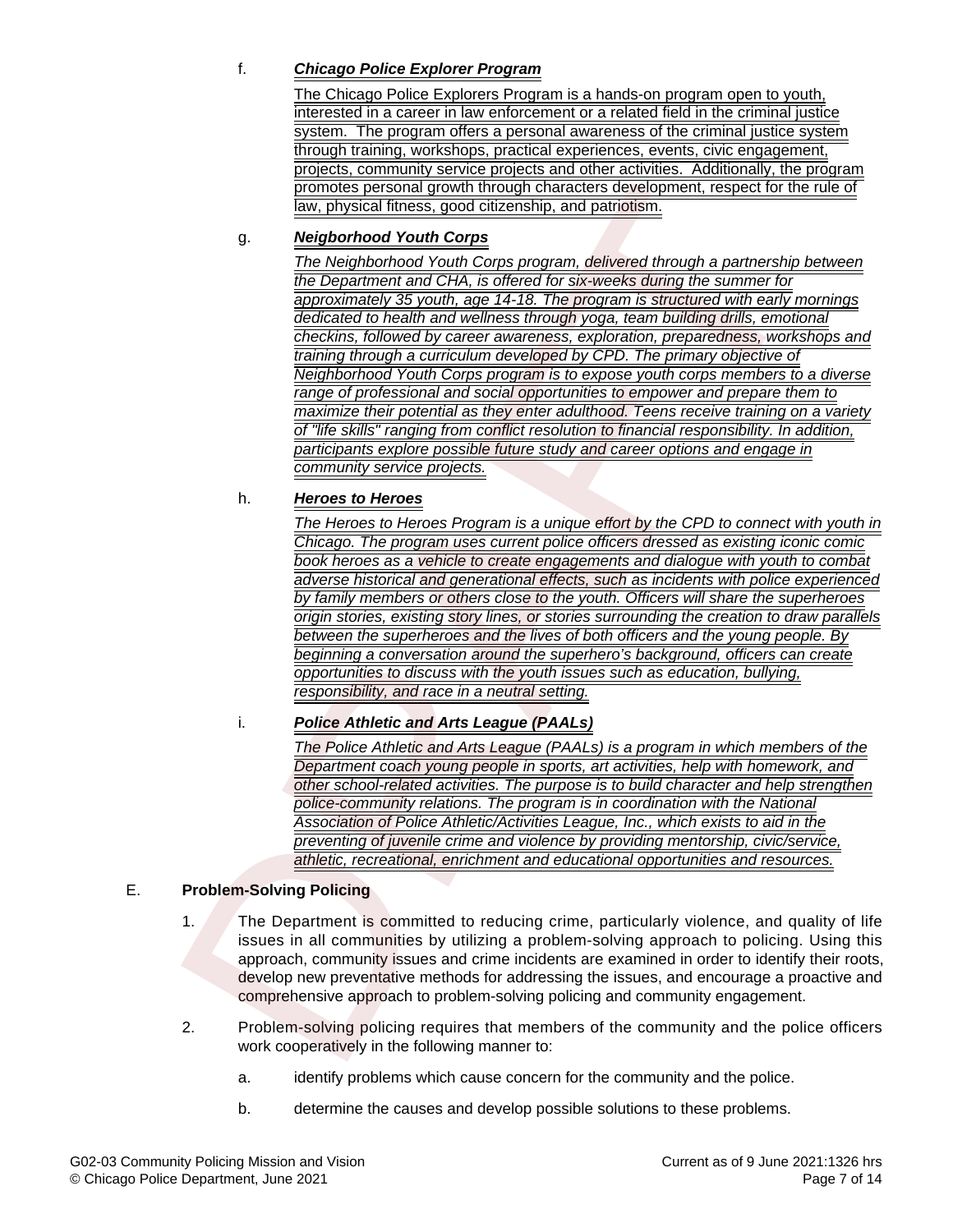## f. **Chicago Police Explorer Program**

The Chicago Police Explorers Program is a hands-on program open to youth, interested in a career in law enforcement or a related field in the criminal justice system. The program offers a personal awareness of the criminal justice system through training, workshops, practical experiences, events, civic engagement, projects, community service projects and other activities. Additionally, the program promotes personal growth through characters development, respect for the rule of law, physical fitness, good citizenship, and patriotism.

### g. **Neigborhood Youth Corps**

The Neighborhood Youth Corps program, delivered through a partnership between the Department and CHA, is offered for six-weeks during the summer for approximately 35 youth, age 14-18. The program is structured with early mornings dedicated to health and wellness through yoga, team building drills, emotional checkins, followed by career awareness, exploration, preparedness, workshops and training through a curriculum developed by CPD. The primary objective of Neighborhood Youth Corps program is to expose youth corps members to a diverse range of professional and social opportunities to empower and prepare them to maximize their potential as they enter adulthood. Teens receive training on a variety of "life skills" ranging from conflict resolution to financial responsibility. In addition, participants explore possible future study and career options and engage in community service projects. promises personal growth finocephical chanceles development, respect for the<br>
Taw physical filmess, good otticanship, and patitolism.<br>
The Veloptomod Youth Corps<br>
The Veloptomod Youth Corps<br>
The Veloptomod Youth Corps<br>
Tay

#### h. **Heroes to Heroes**

The Heroes to Heroes Program is a unique effort by the CPD to connect with youth in Chicago. The program uses current police officers dressed as existing iconic comic book heroes as a vehicle to create engagements and dialogue with youth to combat adverse historical and generational effects, such as incidents with police experienced by family members or others close to the youth. Officers will share the superheroes origin stories, existing story lines, or stories surrounding the creation to draw parallels between the superheroes and the lives of both officers and the young people. By beginning a conversation around the superhero's background, officers can create opportunities to discuss with the youth issues such as education, bullying, responsibility, and race in a neutral setting.

## i. **Police Athletic and Arts League (PAALs)**

The Police Athletic and Arts League (PAALs) is a program in which members of the Department coach young people in sports, art activities, help with homework, and other school-related activities. The purpose is to build character and help strengthen police-community relations. The program is in coordination with the National Association of Police Athletic/Activities League, Inc., which exists to aid in the preventing of juvenile crime and violence by providing mentorship, civic/service, athletic, recreational, enrichment and educational opportunities and resources.

#### E. **Problem-Solving Policing**

- 1. The Department is committed to reducing crime, particularly violence, and quality of life issues in all communities by utilizing a problem-solving approach to policing. Using this approach, community issues and crime incidents are examined in order to identify their roots, develop new preventative methods for addressing the issues, and encourage a proactive and comprehensive approach to problem-solving policing and community engagement.
- 2. Problem-solving policing requires that members of the community and the police officers work cooperatively in the following manner to:
	- a. identify problems which cause concern for the community and the police.
	- b. determine the causes and develop possible solutions to these problems.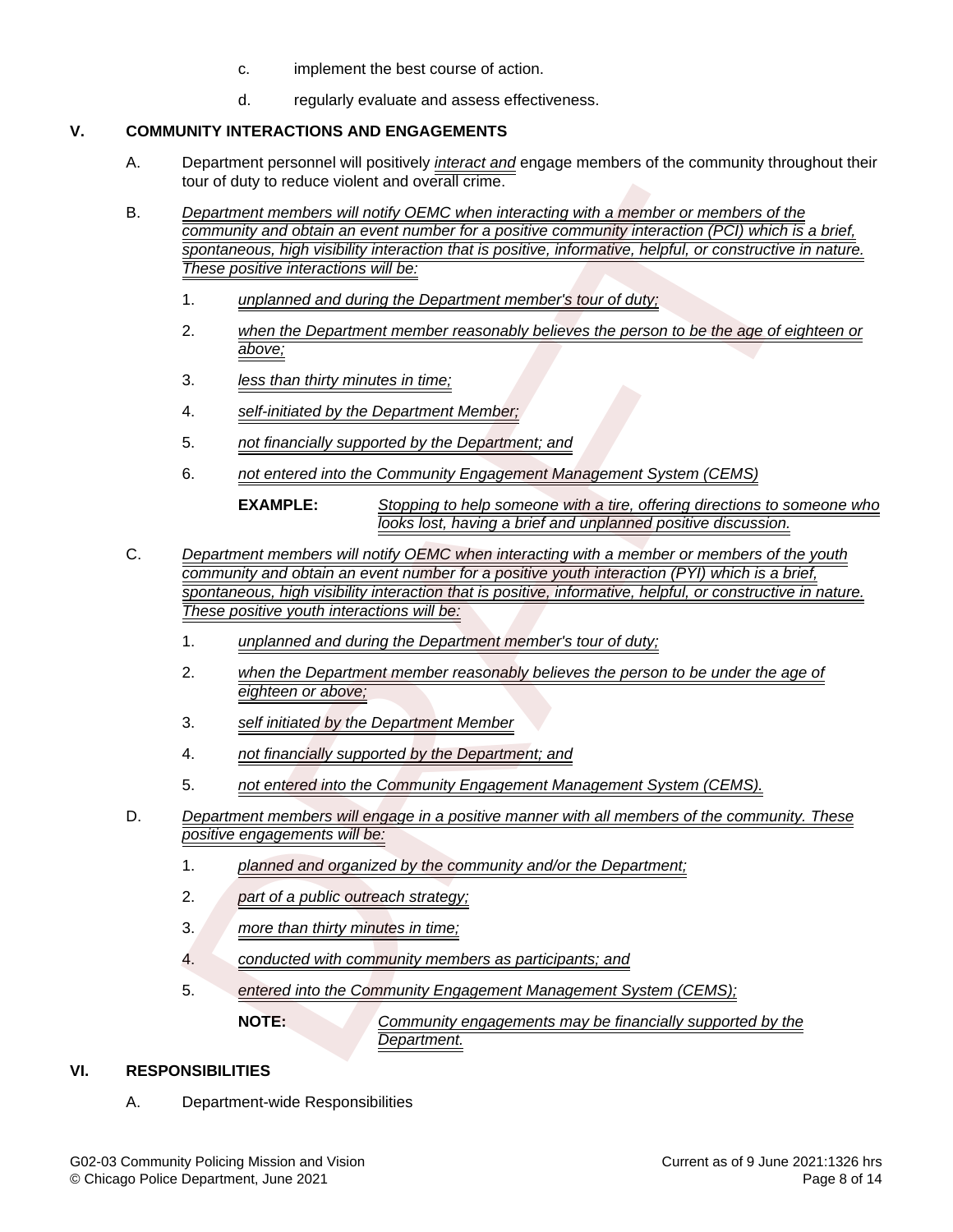- c. implement the best course of action.
- d. regularly evaluate and assess effectiveness.

## **V. COMMUNITY INTERACTIONS AND ENGAGEMENTS**

- A. Department personnel will positively interact and engage members of the community throughout their tour of duty to reduce violent and overall crime.
- B. Department members will notify OEMC when interacting with a member or members of the community and obtain an event number for a positive community interaction (PCI) which is a brief, spontaneous, high visibility interaction that is positive, informative, helpful, or constructive in nature. These positive interactions will be:
	- 1. unplanned and during the Department member's tour of duty;
	- 2. when the Department member reasonably believes the person to be the age of eighteen or above;
	- 3. less than thirty minutes in time;
	- 4. self-initiated by the Department Member;
	- 5. not financially supported by the Department; and
	- 6. not entered into the Community Engagement Management System (CEMS)

**EXAMPLE:** Stopping to help someone with a tire, offering directions to someone who looks lost, having a brief and unplanned positive discussion.

- C. Department members will notify OEMC when interacting with a member or members of the youth community and obtain an event number for a positive youth interaction (PYI) which is a brief, spontaneous, high visibility interaction that is positive, informative, helpful, or constructive in nature. These positive youth interactions will be: (but to focus of the main over than the continue of the parameter or members of the Community and Oblah an over the main of the particle of the community and one in the continue of the continue of the continue of the conti
	- 1. unplanned and during the Department member's tour of duty;
	- 2. when the Department member reasonably believes the person to be under the age of eighteen or above;
	- 3. self initiated by the Department Member
	- 4. not financially supported by the Department; and
	- 5. not entered into the Community Engagement Management System (CEMS).
- D. Department members will engage in a positive manner with all members of the community. These positive engagements will be:
	- 1. planned and organized by the community and/or the Department;
	- 2. part of a public outreach strategy;
	- 3. more than thirty minutes in time;
	- 4. conducted with community members as participants; and
	- 5. entered into the Community Engagement Management System (CEMS);

**NOTE:** Community engagements may be financially supported by the Department.

# **VI. RESPONSIBILITIES**

A. Department-wide Responsibilities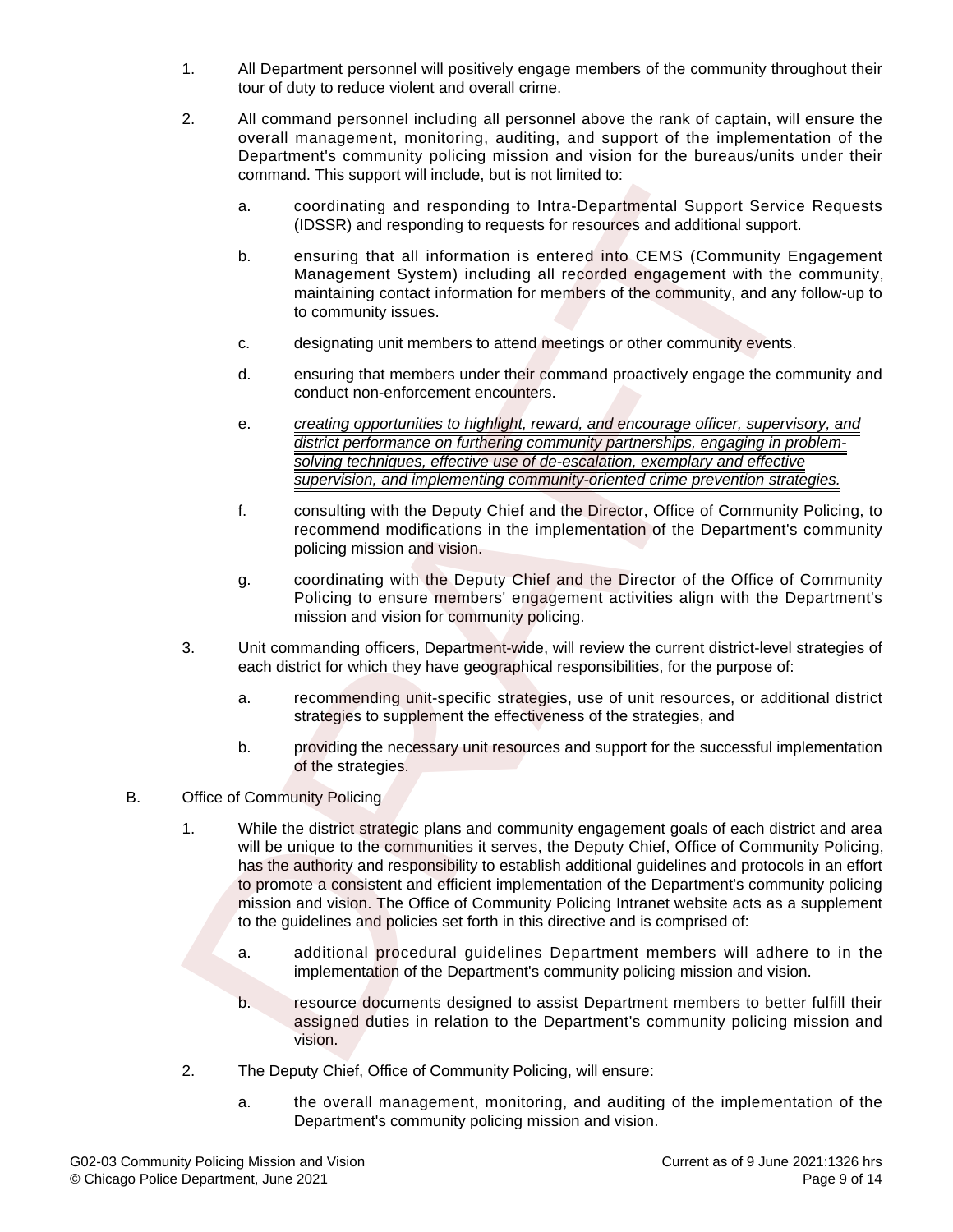- 1. All Department personnel will positively engage members of the community throughout their tour of duty to reduce violent and overall crime.
- 2. All command personnel including all personnel above the rank of captain, will ensure the overall management, monitoring, auditing, and support of the implementation of the Department's community policing mission and vision for the bureaus/units under their command. This support will include, but is not limited to:
	- a. coordinating and responding to Intra-Departmental Support Service Requests (IDSSR) and responding to requests for resources and additional support.
	- b. ensuring that all information is entered into CEMS (Community Engagement Management System) including all recorded engagement with the community, maintaining contact information for members of the community, and any follow-up to to community issues.
	- c. designating unit members to attend meetings or other community events.
	- d. ensuring that members under their command proactively engage the community and conduct non-enforcement encounters.
	- e. creating opportunities to highlight, reward, and encourage officer, supervisory, and district performance on furthering community partnerships, engaging in problemsolving techniques, effective use of de-escalation, exemplary and effective supervision, and implementing community-oriented crime prevention strategies.
	- f. consulting with the Deputy Chief and the Director, Office of Community Policing, to recommend modifications in the implementation of the Department's community policing mission and vision.
	- g. coordinating with the Deputy Chief and the Director of the Office of Community Policing to ensure members' engagement activities align with the Department's mission and vision for community policing.
- 3. Unit commanding officers, Department-wide, will review the current district-level strategies of each district for which they have geographical responsibilities, for the purpose of:
	- a. recommending unit-specific strategies, use of unit resources, or additional district strategies to supplement the effectiveness of the strategies, and
	- b. providing the necessary unit resources and support for the successful implementation of the strategies.
- B. Office of Community Policing
- 1. While the district strategic plans and community engagement goals of each district and area will be unique to the communities it serves, the Deputy Chief, Office of Community Policing, has the authority and responsibility to establish additional guidelines and protocols in an effort to promote a consistent and efficient implementation of the Department's community policing mission and vision. The Office of Community Policing Intranet website acts as a supplement to the guidelines and policies set forth in this directive and is comprised of: onion and the phonological control of the control of the control of the control of the control of the control of the control of the control of the control of the control of the control of the control of the control of the
	- a. additional procedural guidelines Department members will adhere to in the implementation of the Department's community policing mission and vision.
	- b. resource documents designed to assist Department members to better fulfill their assigned duties in relation to the Department's community policing mission and vision.
	- 2. The Deputy Chief, Office of Community Policing, will ensure:
		- a. the overall management, monitoring, and auditing of the implementation of the Department's community policing mission and vision.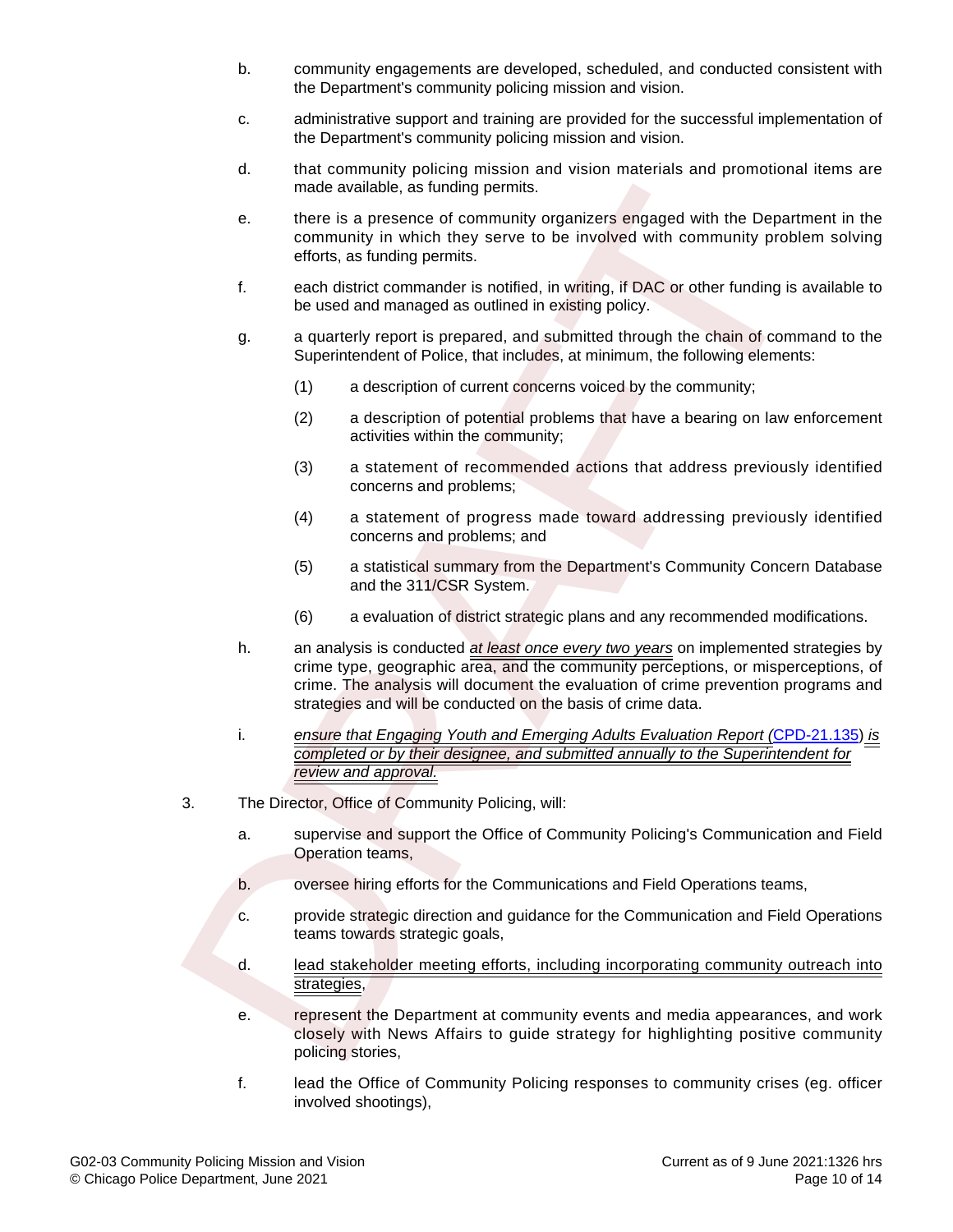- b. community engagements are developed, scheduled, and conducted consistent with the Department's community policing mission and vision.
- c. administrative support and training are provided for the successful implementation of the Department's community policing mission and vision.
- d. that community policing mission and vision materials and promotional items are made available, as funding permits.
- e. there is a presence of community organizers engaged with the Department in the community in which they serve to be involved with community problem solving efforts, as funding permits.
- f. each district commander is notified, in writing, if DAC or other funding is available to be used and managed as outlined in existing policy.
- g. a quarterly report is prepared, and submitted through the chain of command to the Superintendent of Police, that includes, at minimum, the following elements:
	- (1) a description of current concerns voiced by the community;
	- (2) a description of potential problems that have a bearing on law enforcement activities within the community;
	- (3) a statement of recommended actions that address previously identified concerns and problems;
	- (4) a statement of progress made toward addressing previously identified concerns and problems; and
	- (5) a statistical summary from the Department's Community Concern Database and the 311/CSR System.
	- (6) a evaluation of district strategic plans and any recommended modifications.
- h. an analysis is conducted at least once every two years on implemented strategies by crime type, geographic area, and the community perceptions, or misperceptions, of crime. The analysis will document the evaluation of crime prevention programs and strategies and will be conducted on the basis of crime data. made available, as funding permits,<br>
there is a presence of community organizers engaged with the Depart<br>
community in which they serve to be involved with community proble<br>
efforts, as burding permisis.<br>
for each district
	- i. ensure that Engaging Youth and Emerging Adults Evaluation Report ([CPD-21.135\)](https://netprod2.chicagopolice.org/DMSAdmin/forms/CPD-21.135.pdf) is completed or by their designee, and submitted annually to the Superintendent for review and approval.
- 3. The Director, Office of Community Policing, will:
	- a. supervise and support the Office of Community Policing's Communication and Field Operation teams,
	- b. oversee hiring efforts for the Communications and Field Operations teams,
	- c. provide strategic direction and guidance for the Communication and Field Operations teams towards strategic goals,
	- d. lead stakeholder meeting efforts, including incorporating community outreach into strategies,
	- e. represent the Department at community events and media appearances, and work closely with News Affairs to guide strategy for highlighting positive community policing stories,
	- f. lead the Office of Community Policing responses to community crises (eg. officer involved shootings),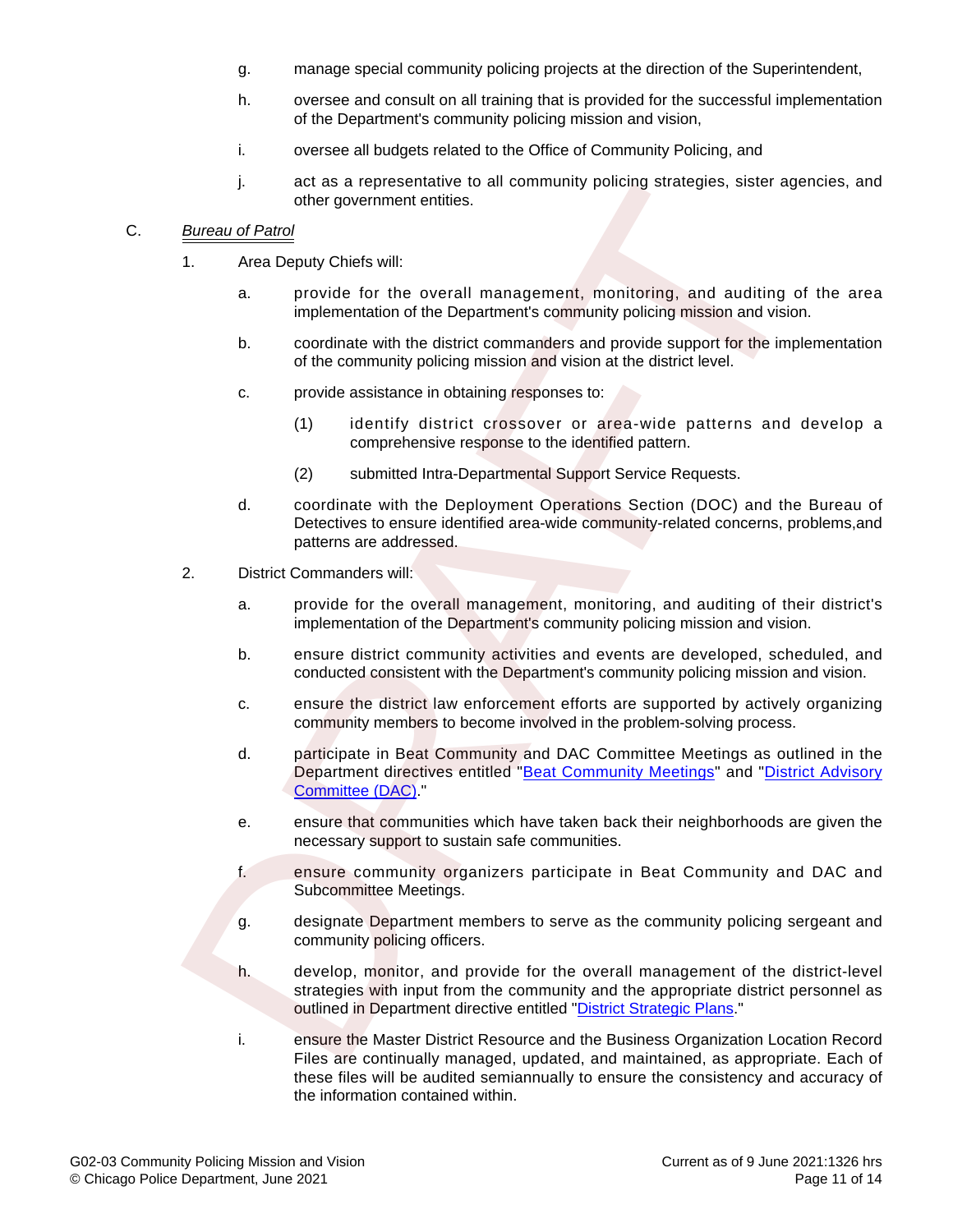- g. manage special community policing projects at the direction of the Superintendent,
- h. oversee and consult on all training that is provided for the successful implementation of the Department's community policing mission and vision,
- i. oversee all budgets related to the Office of Community Policing, and
- j. act as a representative to all community policing strategies, sister agencies, and other government entities.

### C. Bureau of Patrol

- 1. Area Deputy Chiefs will:
	- a. provide for the overall management, monitoring, and auditing of the area implementation of the Department's community policing mission and vision.
	- b. coordinate with the district commanders and provide support for the implementation of the community policing mission and vision at the district level.
	- c. provide assistance in obtaining responses to:
		- (1) identify district crossover or area-wide patterns and develop a comprehensive response to the identified pattern.
		- (2) submitted Intra-Departmental Support Service Requests.
	- d. coordinate with the Deployment Operations Section (DOC) and the Bureau of Detectives to ensure identified area-wide community-related concerns, problems,and patterns are addressed.
- 2. District Commanders will:
	- a. provide for the overall management, monitoring, and auditing of their district's implementation of the Department's community policing mission and vision.
	- b. ensure district community activities and events are developed, scheduled, and conducted consistent with the Department's community policing mission and vision.
	- c. ensure the district law enforcement efforts are supported by actively organizing community members to become involved in the problem-solving process.
	- d. participate in Beat Community and DAC Committee Meetings as outlined in the Department directives entitled "Beat Community Meetings" and ["District Advisory](https://netprod2.chicagopolice.org/DMSAdmin/#directive/public/6588) Committee (DAC).
	- e. ensure that communities which have taken back their neighborhoods are given the necessary support to sustain safe communities.
	- f. ensure community organizers participate in Beat Community and DAC and Subcommittee Meetings.
	- g. designate Department members to serve as the community policing sergeant and community policing officers.
- h. develop, monitor, and provide for the overall management of the district-level strategies with input from the community and the appropriate district personnel as outlined in Department directive entitled "District Strategic Plans." For as a representative to all community policing strategies, sister age<br>of the government entities.<br>
Airea Deproduced<br>
1. Area Deproduced<br>
2. Examplementation of the Department community policing mission and vision<br>
2. pr
	- i. ensure the Master District Resource and the Business Organization Location Record Files are continually managed, updated, and maintained, as appropriate. Each of these files will be audited semiannually to ensure the consistency and accuracy of the information contained within.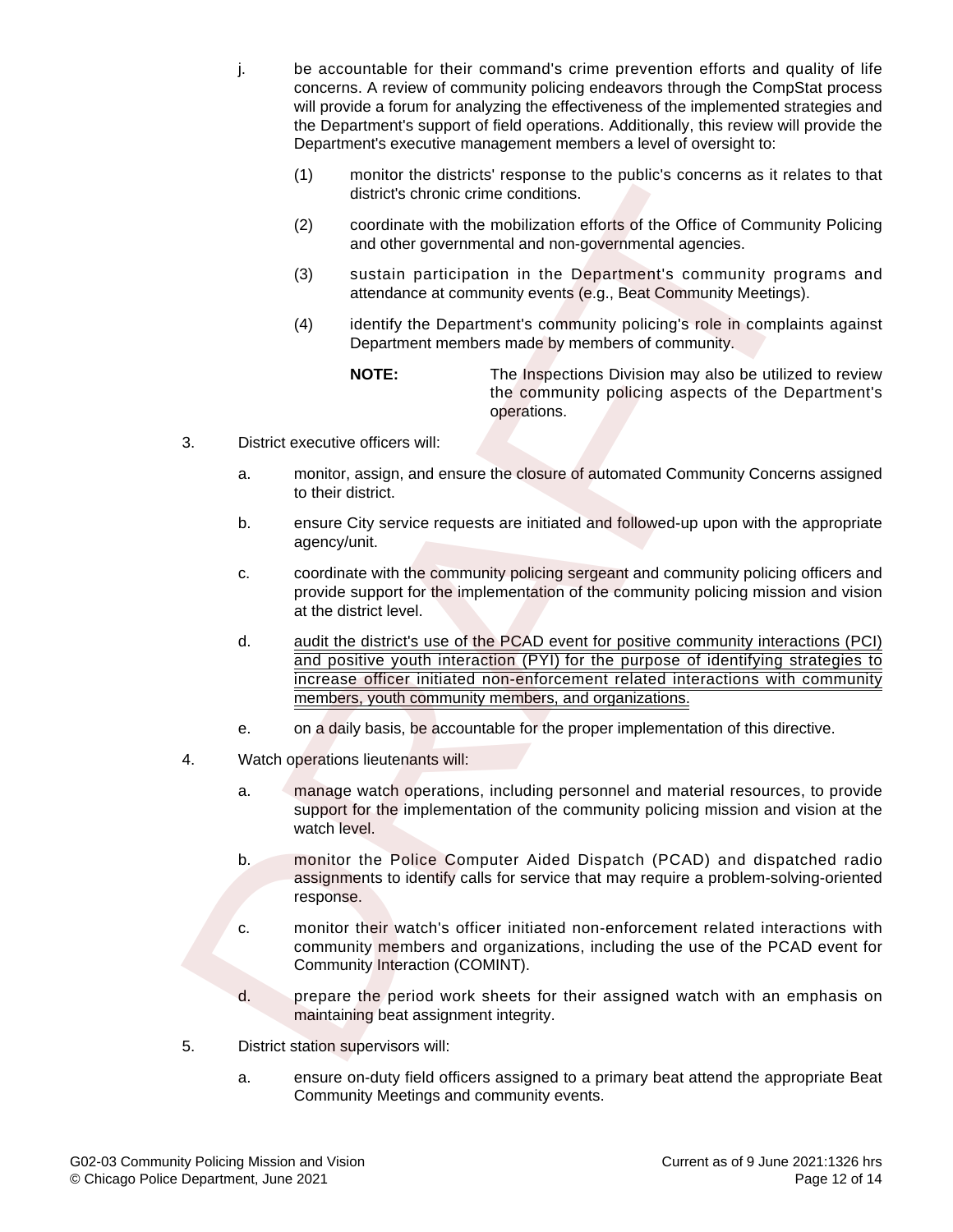- j. be accountable for their command's crime prevention efforts and quality of life concerns. A review of community policing endeavors through the CompStat process will provide a forum for analyzing the effectiveness of the implemented strategies and the Department's support of field operations. Additionally, this review will provide the Department's executive management members a level of oversight to:
	- (1) monitor the districts' response to the public's concerns as it relates to that district's chronic crime conditions.
	- (2) coordinate with the mobilization efforts of the Office of Community Policing and other governmental and non-governmental agencies.
	- (3) sustain participation in the Department's community programs and attendance at community events (e.g., Beat Community Meetings).
	- (4) identify the Department's community policing's role in complaints against Department members made by members of community.

**NOTE:** The Inspections Division may also be utilized to review the community policing aspects of the Department's operations.

- 3. District executive officers will:
	- a. monitor, assign, and ensure the closure of automated Community Concerns assigned to their district.
	- b. ensure City service requests are initiated and followed-up upon with the appropriate agency/unit.
	- c. coordinate with the community policing sergeant and community policing officers and provide support for the implementation of the community policing mission and vision at the district level.
- d. audit the district's use of the PCAD event for positive community interactions (PCI) and positive youth interaction (PYI) for the purpose of identifying strategies to increase officer initiated non-enforcement related interactions with community members, youth community members, and organizations. The districts chomic and not plottics and not plottics and not the most and other obtained and the most and district scheme is and district scheme that and on-governmental algencies.<br>
(2) condition is the most and other of
	- e. on a daily basis, be accountable for the proper implementation of this directive.
- 4. Watch operations lieutenants will:
	- a. manage watch operations, including personnel and material resources, to provide support for the implementation of the community policing mission and vision at the watch level.
	- b. monitor the Police Computer Aided Dispatch (PCAD) and dispatched radio assignments to identify calls for service that may require a problem-solving-oriented response.
	- c. monitor their watch's officer initiated non-enforcement related interactions with community members and organizations, including the use of the PCAD event for Community Interaction (COMINT).
	- d. prepare the period work sheets for their assigned watch with an emphasis on maintaining beat assignment integrity.
- 5. District station supervisors will:
	- a. ensure on-duty field officers assigned to a primary beat attend the appropriate Beat Community Meetings and community events.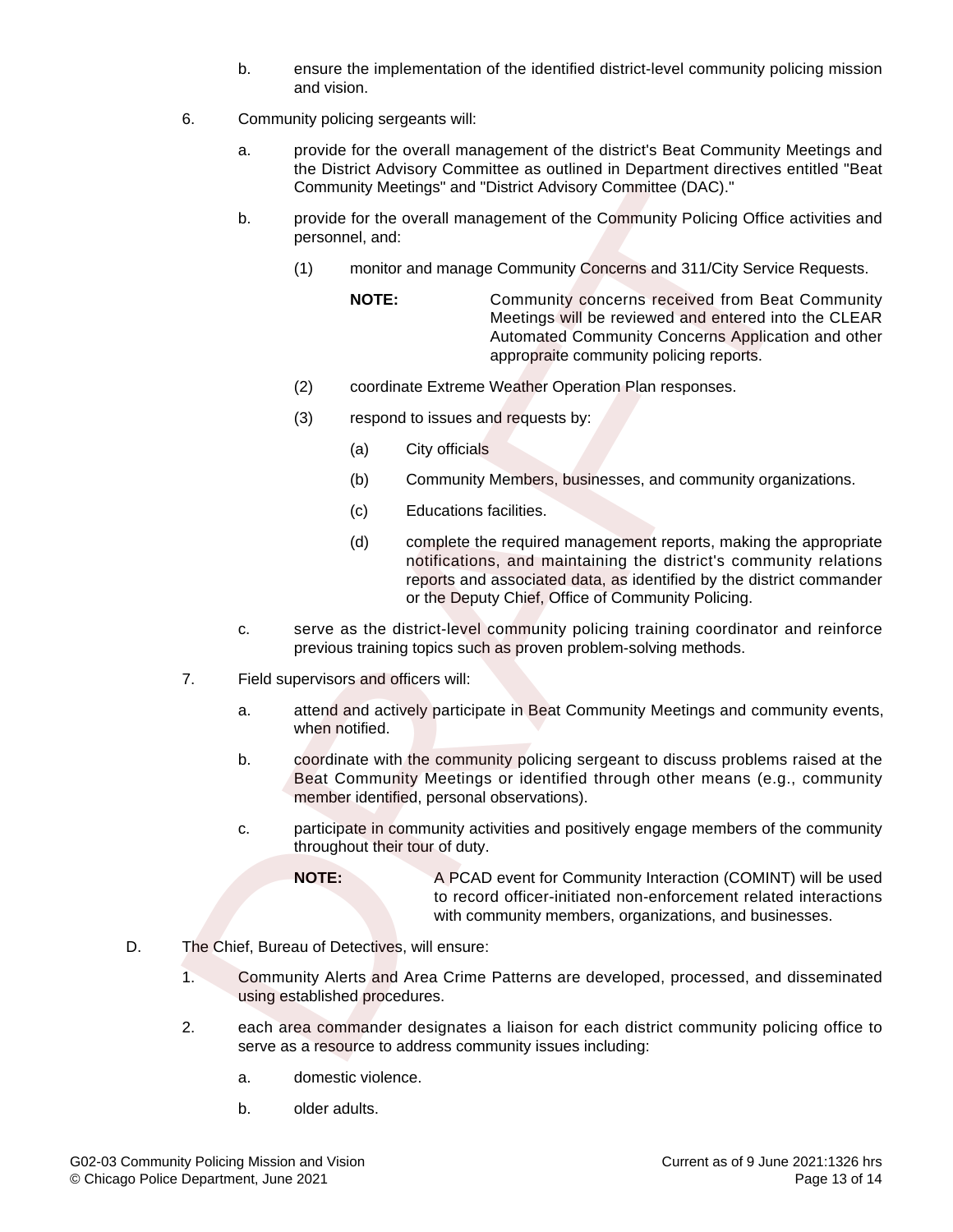- b. ensure the implementation of the identified district-level community policing mission and vision.
- 6. Community policing sergeants will:
	- a. provide for the overall management of the district's Beat Community Meetings and the District Advisory Committee as outlined in Department directives entitled "Beat Community Meetings" and "District Advisory Committee (DAC)."
	- b. provide for the overall management of the Community Policing Office activities and personnel, and:
		- (1) monitor and manage Community Concerns and 311/City Service Requests.
			- **NOTE:** Community concerns received from Beat Community Meetings will be reviewed and entered into the CLEAR Automated Community Concerns Application and other appropraite community policing reports.
		- (2) coordinate Extreme Weather Operation Plan responses.
		- (3) respond to issues and requests by:
			- (a) City officials
			- (b) Community Members, businesses, and community organizations.
			- (c) Educations facilities.
- (d) complete the required management reports, making the appropriate notifications, and maintaining the district's community relations reports and associated data, as identified by the district commander or the Deputy Chief, Office of Community Policing. Community Meetings" and "District Advisory Committee (DAC)."<br>
b, provide for the overall management of the Community Policieng Office are<br>
(1) monitor and manage Community Concerns and 311/City Service<br>
MOTE: Community con
	- c. serve as the district-level community policing training coordinator and reinforce previous training topics such as proven problem-solving methods.
- 7. Field supervisors and officers will:
	- a. attend and actively participate in Beat Community Meetings and community events, when notified.
	- b. coordinate with the community policing sergeant to discuss problems raised at the Beat Community Meetings or identified through other means (e.g., community member identified, personal observations).
	- c. participate in community activities and positively engage members of the community throughout their tour of duty.
		- **NOTE:** A PCAD event for Community Interaction (COMINT) will be used to record officer-initiated non-enforcement related interactions with community members, organizations, and businesses.
- D. The Chief, Bureau of Detectives, will ensure:
	- 1. Community Alerts and Area Crime Patterns are developed, processed, and disseminated using established procedures.
	- 2. each area commander designates a liaison for each district community policing office to serve as a resource to address community issues including:
		- a. domestic violence.
		- b. older adults.